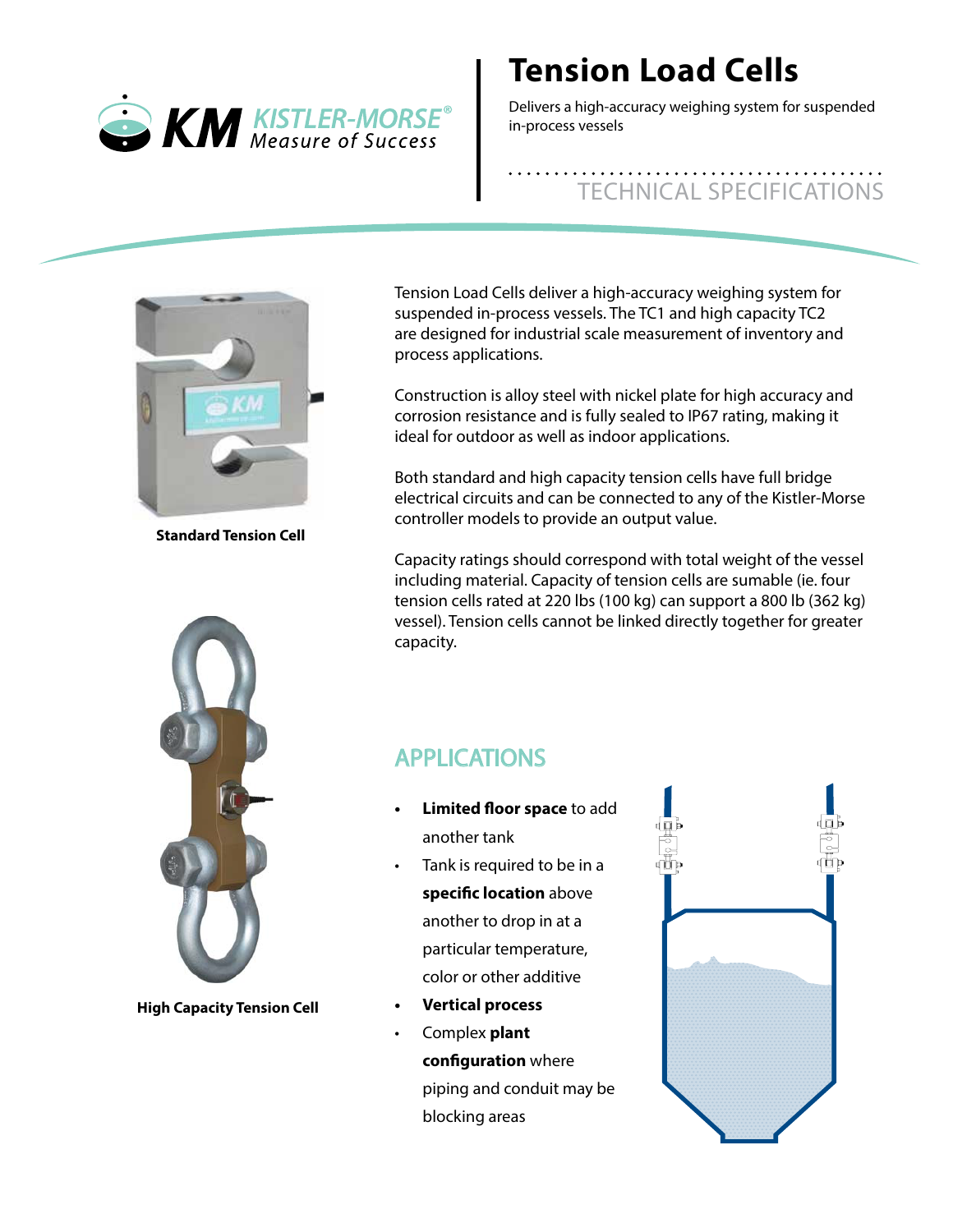

# **Tension Load Cells**

Delivers a high-accuracy weighing system for suspended in-process vessels

# TECHNICAL SPECIFICATIONS



**Standard Tension Cell**

Tension Load Cells deliver a high-accuracy weighing system for suspended in-process vessels. The TC1 and high capacity TC2 are designed for industrial scale measurement of inventory and process applications.

Construction is alloy steel with nickel plate for high accuracy and corrosion resistance and is fully sealed to IP67 rating, making it ideal for outdoor as well as indoor applications.

Both standard and high capacity tension cells have full bridge electrical circuits and can be connected to any of the Kistler-Morse controller models to provide an output value.

Capacity ratings should correspond with total weight of the vessel including material. Capacity of tension cells are sumable (ie. four tension cells rated at 220 lbs (100 kg) can support a 800 lb (362 kg) vessel). Tension cells cannot be linked directly together for greater capacity.



**High Capacity Tension Cell**

### APPLICATIONS

- **• Limited floor space** to add another tank
- Tank is required to be in a **specific location** above another to drop in at a particular temperature, color or other additive
- **• Vertical process**
- Complex **plant configuration** where piping and conduit may be blocking areas

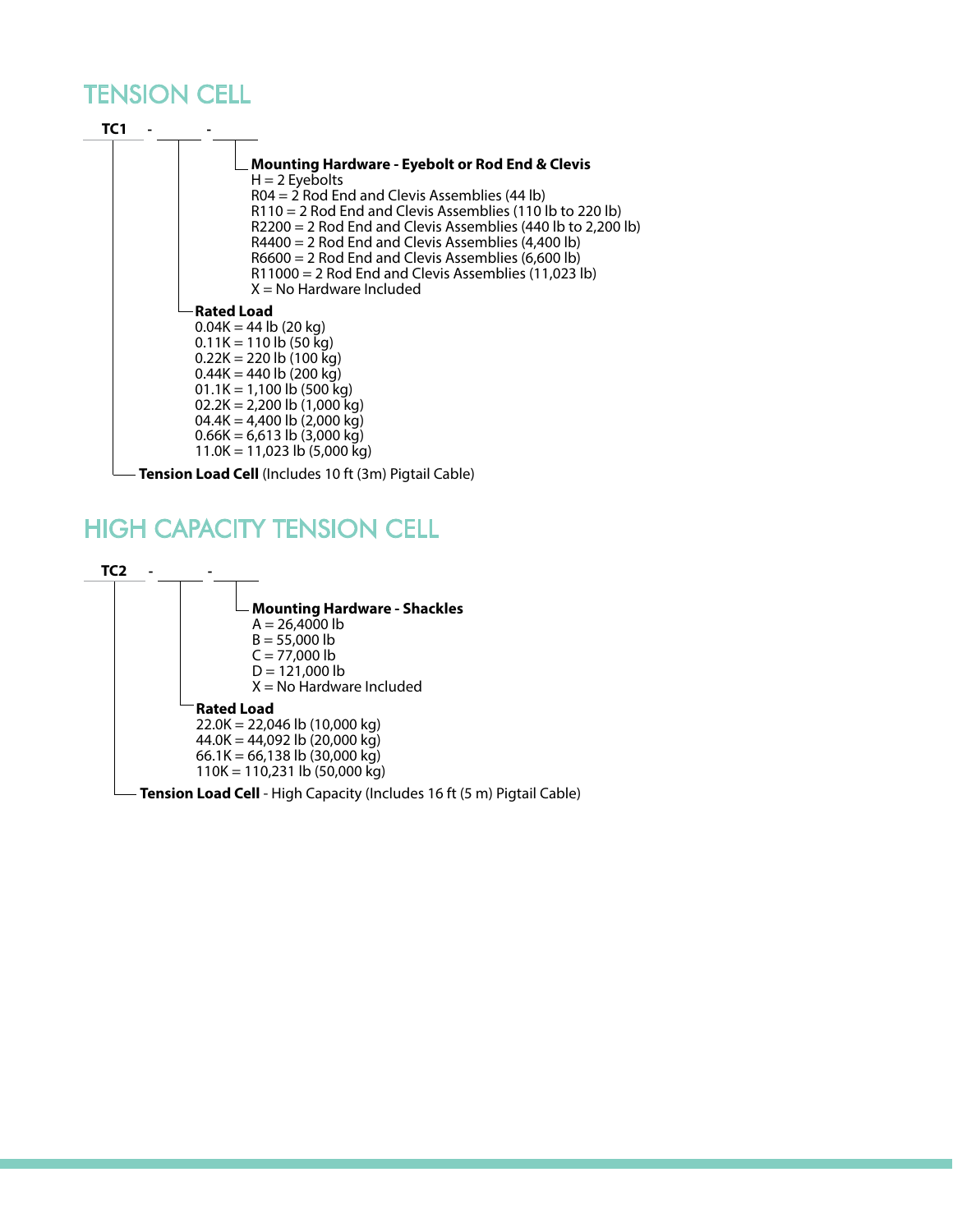## TENSION CELL



## HIGH CAPACITY TENSION CELL

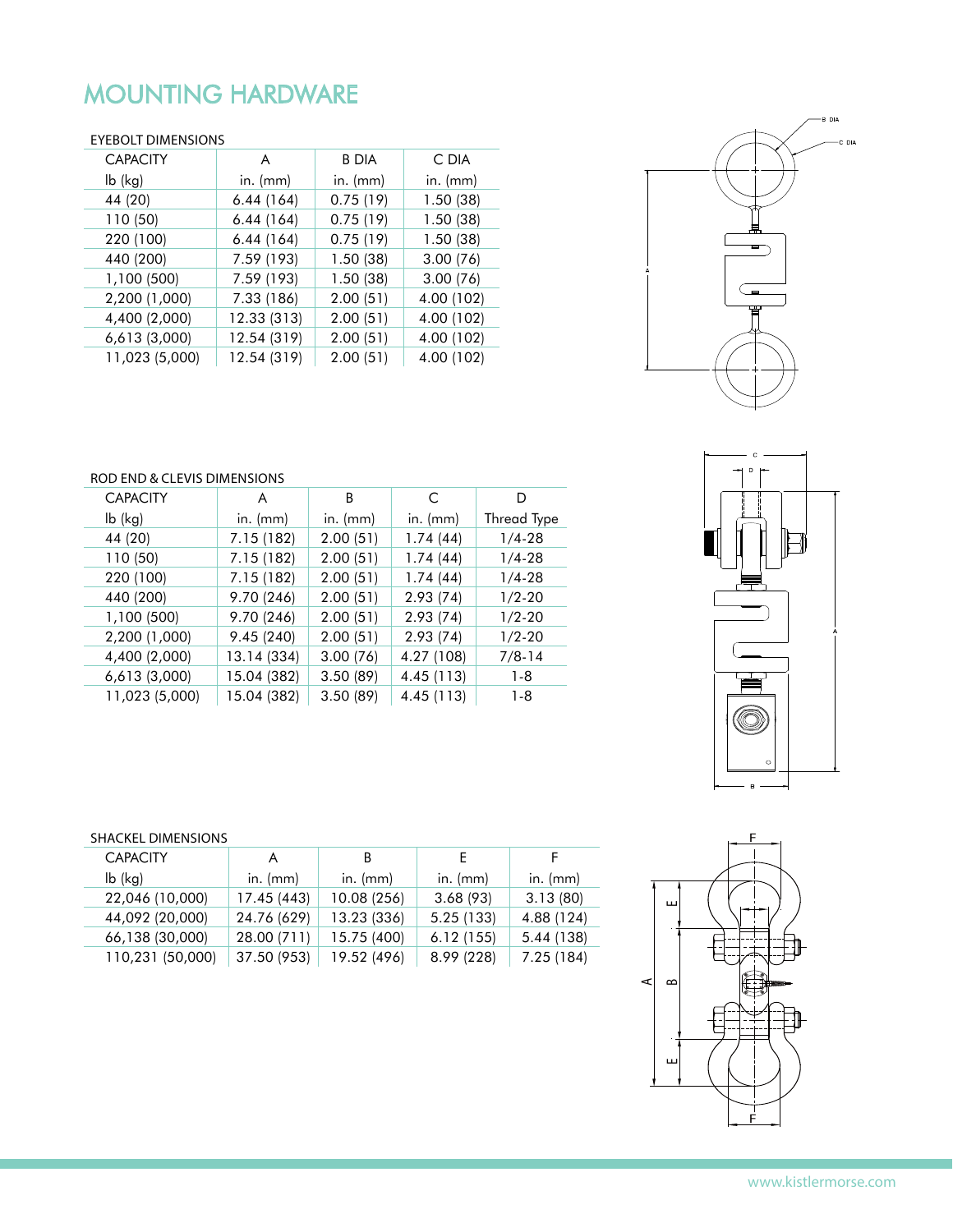## MOUNTING HARDWARE

### EYEBOLT DIMENSIONS

| <b>CAPACITY</b>    | A           | <b>B DIA</b> | C DIA      |
|--------------------|-------------|--------------|------------|
| $\mathsf{lb}$ (kg) | in. $(mm)$  | in. $(mm)$   | in. $(mm)$ |
| 44 (20)            | 6.44 (164)  | 0.75(19)     | 1.50(38)   |
| 110(50)            | 6.44 (164)  | 0.75(19)     | 1.50(38)   |
| 220 (100)          | 6.44(164)   | 0.75(19)     | 1.50(38)   |
| 440 (200)          | 7.59 (193)  | 1.50(38)     | 3.00(76)   |
| 1,100 (500)        | 7.59 (193)  | 1.50(38)     | 3.00(76)   |
| 2,200 (1,000)      | 7.33 (186)  | 2.00(51)     | 4.00 (102) |
| 4,400 (2,000)      | 12.33 (313) | 2.00(51)     | 4.00 (102) |
| 6,613 (3,000)      | 12.54 (319) | 2.00(51)     | 4.00 (102) |
| 11,023 (5,000)     | 12.54 (319) | 2.00(51)     | 4.00 (102) |



### ROD END & CLEVIS DIMENSIONS

| <b>CAPACITY</b>    | A           | B          | С          | D           |
|--------------------|-------------|------------|------------|-------------|
| $\mathsf{lb}$ (kg) | $in.$ (mm)  | in. $(mm)$ | in. $(mm)$ | Thread Type |
| 44 (20)            | 7.15 (182)  | 2.00(51)   | 1.74(44)   | $1/4 - 28$  |
| 110 (50)           | 7.15 (182)  | 2.00(51)   | 1.74(44)   | $1/4 - 28$  |
| 220 (100)          | 7.15 (182)  | 2.00(51)   | 1.74(44)   | $1/4 - 28$  |
| 440 (200)          | 9.70 (246)  | 2.00(51)   | 2.93(74)   | $1/2 - 20$  |
| 1,100 (500)        | 9.70 (246)  | 2.00(51)   | 2.93(74)   | $1/2 - 20$  |
| 2,200 (1,000)      | 9.45(240)   | 2.00(51)   | 2.93(74)   | $1/2 - 20$  |
| 4,400 (2,000)      | 13.14 (334) | 3.00(76)   | 4.27 (108) | $7/8 - 14$  |
| 6,613 (3,000)      | 15.04 (382) | 3.50(89)   | 4.45 (113) | $1 - 8$     |
| 11,023 (5,000)     | 15.04 (382) | 3.50(89)   | 4.45 (113) | $1 - 8$     |

### SHACKEL DIMENSIONS

| <b>CAPACITY</b>    | A           | B           |            |            |
|--------------------|-------------|-------------|------------|------------|
| $\mathsf{lb}$ (kg) | in. $(mm)$  | in. $(mm)$  | in. $(mm)$ | in. $(mm)$ |
| 22,046 (10,000)    | 17.45 (443) | 10.08 (256) | 3.68(93)   | 3.13(80)   |
| 44,092 (20,000)    | 24.76 (629) | 13.23 (336) | 5.25(133)  | 4.88 (124) |
| 66,138 (30,000)    | 28.00 (711) | 15.75 (400) | 6.12(155)  | 5.44 (138) |
| 110,231 (50,000)   | 37.50 (953) | 19.52 (496) | 8.99 (228) | 7.25(184)  |